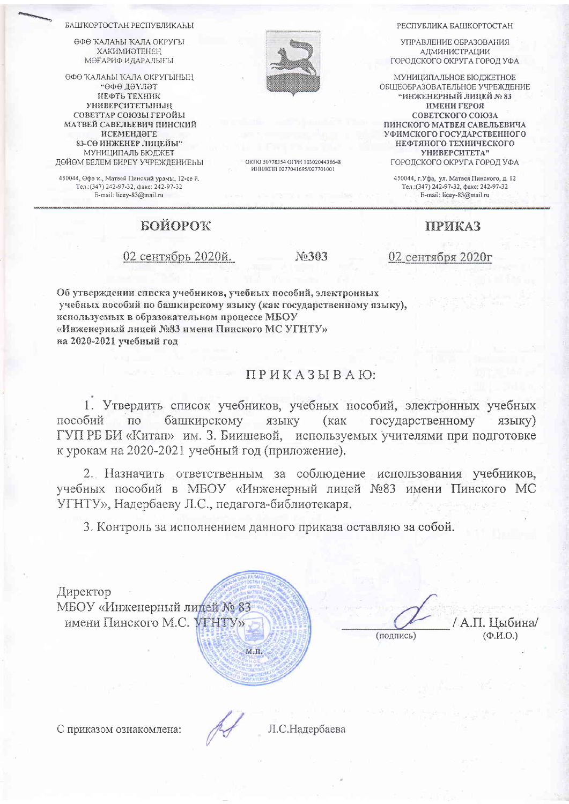БАШКОРТОСТАН РЕСПУБЛИКАЊИ

**GOO KATALLI KATA OKPYCLI ХАКИМИӘТЕНЕН** МӘҒАРИФ ИДАРАЛЫҒЫ

ӨФӨ КАЛАҺЫ КАЛА ОКРУГЫНЫҢ тептед ефе" НЕФТЬ ТЕХНИК **УНИВЕРСИТЕТЫНЫН** СОВЕТТАР СОЮЗЫ ГЕРОЙЫ МАТВЕЙ САВЕЛЬЕВИЧ ПИНСКИЙ ИСЕМЕНДӘГЕ 83-СӨ ИНЖЕНЕР ЛИПЕЙЫ" МУНИЦИПАЛЬ БЮДЖЕТ ДӨЙӨМ БЕЛЕМ БИРЕҮ УЧРЕЖДЕНИЕҺЫ

450044, Өфө к., Матвей Пинский урамы, 12-се й. Тел.: (347) 242-97-32, факс: 242-97-32 E-mail: licey-83@mail.ru

## БОЙОРОК

Об утверждении списка учебников, учебных пособий, электроиных учебных пособий по башкирскому языку (как государственному языку), используемых в образовательном процессе МБОУ «Инженерный лицей №83 имени Пинского МС УГНТУ» на 2020-2021 учебный год

## ПРИКАЗЫВАЮ:

1. Утвердить список учебников, учебных пособий, электронных учебных башкирскому языку пособий по (как государственному языку) ГУП РБ БИ «Китап» им. З. Биишевой, используемых учителями при подготовке к урокам на 2020-2021 учебный год (приложение).

2. Назначить ответственным за соблюдение использования учебников, учебных пособий в МБОУ «Инженерный лицей №83 имени Пинского МС УГНТУ», Надербаеву Л.С., педагога-библиотекаря.

3. Контроль за исполнением данного приказа оставляю за собой.

Директор МБОУ «Инженерный лидей № 83 имени Пинского М.С. VTHTV»

А.П. Цыбина/  $(\Phi$ <sub>M</sub>.O.) (подпись)

02 сентябрь 2020й.

No303

02 сентября 2020г

OKTIO 50778354 OFPH 1030204438648 ИНН/КПП 0277041695/027701001



**УПРАВЛЕНИЕ ОБРАЗОВАНИЯ А ДМИНИСТРАЦИИ** ГОРОДСКОГО ОКРУГА ГОРОД УФА

МУНИЦИПАЛЬНОЕ БЮДЖЕТНОЕ ОБШЕОБРАЗОВАТЕЛЬНОЕ УЧРЕЖДЕНИЕ **"ИНЖЕНЕРНЫЙ ЛИЦЕЙ № 83 ИМЕНИ ГЕРОЯ** СОВЕТСКОГО СОЮЗА ПИНСКОГО МАТВЕЯ САВЕЛЬЕВИЧА УФИМСКОГО ГОСУДАРСТВЕННОГО НЕФТЯНОГО ТЕХНИЧЕСКОГО УНИВЕРСИТЕТА"

ГОРОДСКОГО ОКРУГА ГОРОД УФА

450044, г.Уфа, ул. Матвея Пинского, д. 12<br>Тел.: (347) 242-97-32, факс: 242-97-32 E-mail: licey-83@mail.ru

**ПРИКАЗ** 

С приказом ознакомлена:

Л.С.Налербаева

 $M.\Pi$